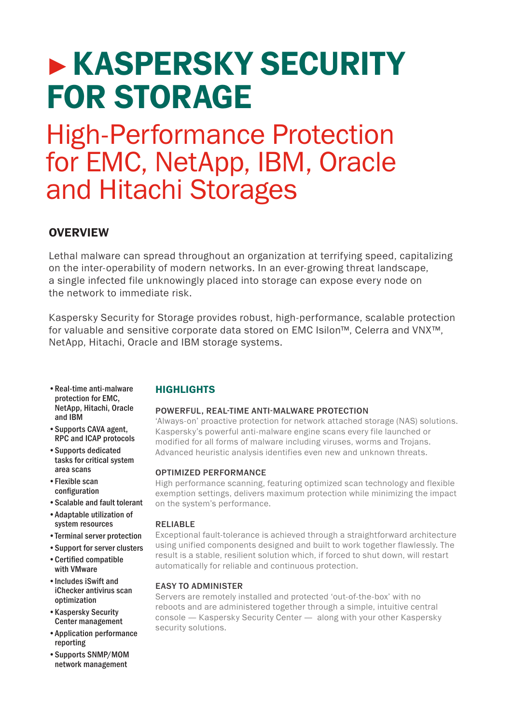# **KASPERSKY SECURITY** FOR STORAGE

## High-Performance Protection for EMC, NetApp, IBM, Oracle and Hitachi Storages

## **OVERVIEW**

Lethal malware can spread throughout an organization at terrifying speed, capitalizing on the inter-operability of modern networks. In an ever-growing threat landscape, a single infected file unknowingly placed into storage can expose every node on the network to immediate risk.

Kaspersky Security for Storage provides robust, high-performance, scalable protection for valuable and sensitive corporate data stored on EMC Isilon™, Celerra and VNX™, NetApp, Hitachi, Oracle and IBM storage systems.

- • Real-time anti-malware protection for EMC, NetApp, Hitachi, Oracle and IBM
- • Supports CAVA agent, RPC and ICAP protocols
- • Supports dedicated tasks for critical system area scans
- • Flexible scan configuration
- • Scalable and fault tolerant
- • Adaptable utilization of system resources
- • Terminal server protection
- • Support for server clusters
- • Certified compatible with VMware
- • Includes iSwift and iChecker antivirus scan optimization
- • Kaspersky Security Center management
- • Application performance reporting
- • Supports SNMP/MOM network management

## **HIGHLIGHTS**

## POWERFUL, REAL-TIME ANTI-MALWARE PROTECTION

'Always-on' proactive protection for network attached storage (NAS) solutions. Kaspersky's powerful anti-malware engine scans every file launched or modified for all forms of malware including viruses, worms and Trojans. Advanced heuristic analysis identifies even new and unknown threats.

## OPTIMIZED PERFORMANCE

High performance scanning, featuring optimized scan technology and flexible exemption settings, delivers maximum protection while minimizing the impact on the system's performance.

## RELIABLE

Exceptional fault-tolerance is achieved through a straightforward architecture using unified components designed and built to work together flawlessly. The result is a stable, resilient solution which, if forced to shut down, will restart automatically for reliable and continuous protection.

## EASY TO ADMINISTER

Servers are remotely installed and protected 'out-of-the-box' with no reboots and are administered together through a simple, intuitive central console — Kaspersky Security Center — along with your other Kaspersky security solutions.